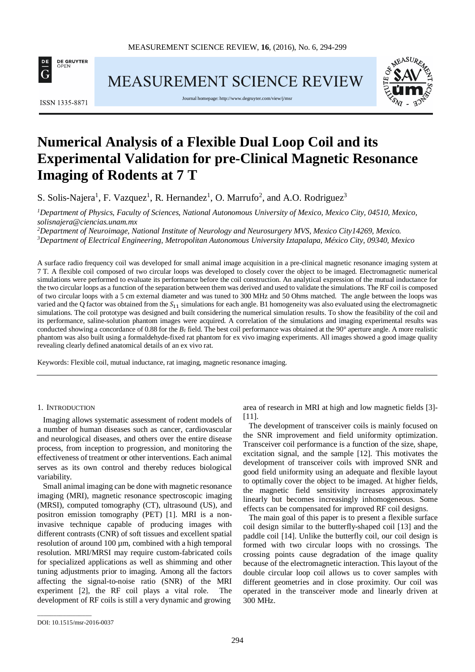

**MEASUREMENT SCIENCE REVIEW** 



Journal homepage[: http://www.degruyter.com/view/j/msr](http://www.degruyter.com/view/j/msr)



# **Numerical Analysis of a Flexible Dual Loop Coil and its Experimental Validation for pre-Clinical Magnetic Resonance Imaging of Rodents at 7 T**

S. Solis-Najera<sup>1</sup>, F. Vazquez<sup>1</sup>, R. Hernandez<sup>1</sup>, O. Marrufo<sup>2</sup>, and A.O. Rodriguez<sup>3</sup>

*1 Department of Physics, Faculty of Sciences, National Autonomous University of Mexico, Mexico City, 04510, Mexico, solisnajera@ciencias.unam.mx*

*2 Department of Neuroimage, National Institute of Neurology and Neurosurgery MVS, Mexico City14269, Mexico. 3 Department of Electrical Engineering, Metropolitan Autonomous University Iztapalapa, México City, 09340, Mexico*

A surface radio frequency coil was developed for small animal image acquisition in a pre-clinical magnetic resonance imaging system at 7 T. A flexible coil composed of two circular loops was developed to closely cover the object to be imaged. Electromagnetic numerical simulations were performed to evaluate its performance before the coil construction. An analytical expression of the mutual inductance for the two circular loops as a function of the separation between them was derived and used to validate the simulations. The RF coil is composed of two circular loops with a 5 cm external diameter and was tuned to 300 MHz and 50 Ohms matched. The angle between the loops was varied and the Q factor was obtained from the  $S_{11}$  simulations for each angle. B1 homogeneity was also evaluated using the electromagnetic simulations. The coil prototype was designed and built considering the numerical simulation results. To show the feasibility of the coil and its performance, saline-solution phantom images were acquired. A correlation of the simulations and imaging experimental results was conducted showing a concordance of 0.88 for the  $B<sub>1</sub>$  field. The best coil performance was obtained at the 90° aperture angle. A more realistic phantom was also built using a formaldehyde-fixed rat phantom for ex vivo imaging experiments. All images showed a good image quality revealing clearly defined anatomical details of an ex vivo rat.

Keywords: Flexible coil, mutual inductance, rat imaging, magnetic resonance imaging.

# 1. INTRODUCTION

Imaging allows systematic assessment of rodent models of a number of human diseases such as cancer, cardiovascular and neurological diseases, and others over the entire disease process, from inception to progression, and monitoring the effectiveness of treatment or other interventions. Each animal serves as its own control and thereby reduces biological variability.

Small animal imaging can be done with magnetic resonance imaging (MRI), magnetic resonance spectroscopic imaging (MRSI), computed tomography (CT), ultrasound (US), and positron emission tomography (PET) [1]. MRI is a noninvasive technique capable of producing images with different contrasts (CNR) of soft tissues and excellent spatial resolution of around 100 µm, combined with a high temporal resolution. MRI/MRSI may require custom-fabricated coils for specialized applications as well as shimming and other tuning adjustments prior to imaging. Among all the factors affecting the signal-to-noise ratio (SNR) of the MRI experiment [2], the RF coil plays a vital role. The development of RF coils is still a very dynamic and growing

area of research in MRI at high and low magnetic fields [3]- [11].

The development of transceiver coils is mainly focused on the SNR improvement and field uniformity optimization. Transceiver coil performance is a function of the size, shape, excitation signal, and the sample [12]. This motivates the development of transceiver coils with improved SNR and good field uniformity using an adequate and flexible layout to optimally cover the object to be imaged. At higher fields, the magnetic field sensitivity increases approximately linearly but becomes increasingly inhomogeneous. Some effects can be compensated for improved RF coil designs.

The main goal of this paper is to present a flexible surface coil design similar to the butterfly-shaped coil [13] and the paddle coil [14]. Unlike the butterfly coil, our coil design is formed with two circular loops with no crossings. The crossing points cause degradation of the image quality because of the electromagnetic interaction. This layout of the double circular loop coil allows us to cover samples with different geometries and in close proximity. Our coil was operated in the transceiver mode and linearly driven at 300 MHz.

\_\_\_\_\_\_\_\_\_\_\_\_\_\_\_\_\_

DOI: 10.1515/msr-2016-0037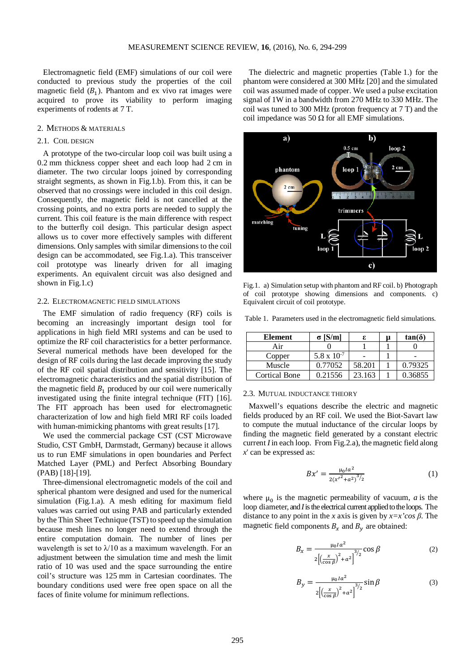Electromagnetic field (EMF) simulations of our coil were conducted to previous study the properties of the coil magnetic field  $(B_1)$ . Phantom and ex vivo rat images were acquired to prove its viability to perform imaging experiments of rodents at 7 T.

## 2. METHODS & MATERIALS

# 2.1. COIL DESIGN

A prototype of the two-circular loop coil was built using a 0.2 mm thickness copper sheet and each loop had 2 cm in diameter. The two circular loops joined by corresponding straight segments, as shown in Fig.1.b). From this, it can be observed that no crossings were included in this coil design. Consequently, the magnetic field is not cancelled at the crossing points, and no extra ports are needed to supply the current. This coil feature is the main difference with respect to the butterfly coil design. This particular design aspect allows us to cover more effectively samples with different dimensions. Only samples with similar dimensions to the coil design can be accommodated, see Fig.1.a). This transceiver coil prototype was linearly driven for all imaging experiments. An equivalent circuit was also designed and shown in Fig.1.c)

### 2.2. ELECTROMAGNETIC FIELD SIMULATIONS

The EMF simulation of radio frequency (RF) coils is becoming an increasingly important design tool for applications in high field MRI systems and can be used to optimize the RF coil characteristics for a better performance. Several numerical methods have been developed for the design of RF coils during the last decade improving the study of the RF coil spatial distribution and sensitivity [15]. The electromagnetic characteristics and the spatial distribution of the magnetic field  $B_1$  produced by our coil were numerically investigated using the finite integral technique (FIT) [16]. The FIT approach has been used for electromagnetic characterization of low and high field MRI RF coils loaded with human-mimicking phantoms with great results [17].

We used the commercial package CST (CST Microwave Studio, CST GmbH, Darmstadt, Germany) because it allows us to run EMF simulations in open boundaries and Perfect Matched Layer (PML) and Perfect Absorbing Boundary (PAB) [18]-[19].

Three-dimensional electromagnetic models of the coil and spherical phantom were designed and used for the numerical simulation (Fig.1.a). A mesh editing for maximum field values was carried out using PAB and particularly extended by the Thin Sheet Technique (TST) to speed up the simulation because mesh lines no longer need to extend through the entire computation domain. The number of lines per wavelength is set to  $\lambda/10$  as a maximum wavelength. For an adjustment between the simulation time and mesh the limit ratio of 10 was used and the space surrounding the entire coil's structure was 125 mm in Cartesian coordinates. The boundary conditions used were free open space on all the faces of finite volume for minimum reflections.

The dielectric and magnetic properties (Table 1.) for the phantom were considered at 300 MHz [20] and the simulated coil was assumed made of copper. We used a pulse excitation signal of 1W in a bandwidth from 270 MHz to 330 MHz. The coil was tuned to 300 MHz (proton frequency at 7 T) and the coil impedance was 50 Ω for all EMF simulations.



Fig.1. a) Simulation setup with phantom and RF coil. b) Photograph of coil prototype showing dimensions and components. c) Equivalent circuit of coil prototype.

Table 1. Parameters used in the electromagnetic field simulations.

| Element              | $\sigma$ [S/m]       |        | μ | $tan(\delta)$ |
|----------------------|----------------------|--------|---|---------------|
| Air                  |                      |        |   |               |
| Copper               | $5.8 \times 10^{-7}$ |        |   |               |
| Muscle               | 0.77052              | 58.201 |   | 0.79325       |
| <b>Cortical Bone</b> | 0.21556              | 23.163 |   | 0.36855       |

#### 2.3. MUTUAL INDUCTANCE THEORY

Maxwell's equations describe the electric and magnetic fields produced by an RF coil. We used the Biot-Savart law to compute the mutual inductance of the circular loops by finding the magnetic field generated by a constant electric current *I* in each loop. From Fig.2.a), the magnetic field along *x*' can be expressed as:

$$
Bx' = \frac{\mu_0 I a^2}{2(x'^2 + a^2)^{3/2}}\tag{1}
$$

where  $\mu_0$  is the magnetic permeability of vacuum, *a* is the loop diameter, and *I*is the electrical current applied to the loops. The distance to any point in the *x* axis is given by  $x=x'cos \beta$ . The magnetic field components  $B_x$  and  $B_y$  are obtained:

$$
B_x = \frac{\mu_0 I a^2}{2\left[\left(\frac{x}{\cos \beta}\right)^2 + a^2\right]^{3/2}} \cos \beta \tag{2}
$$

$$
B_y = \frac{\mu_0 I a^2}{2\left[\left(\frac{x}{\cos \beta}\right)^2 + a^2\right]^{3/2}} \sin \beta \tag{3}
$$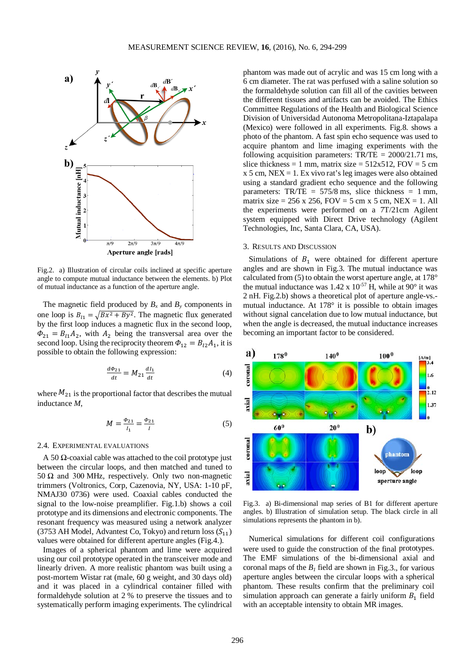

Fig.2. a) Illustration of circular coils inclined at specific aperture angle to compute mutual inductance between the elements. b) Plot of mutual inductance as a function of the aperture angle.

The magnetic field produced by  $B_x$  and  $B_y$  components in one loop is  $B_{11} = \sqrt{Bx^2 + By^2}$ . The magnetic flux generated by the first loop induces a magnetic flux in the second loop,  $\Phi_{21} = B_{11}A_2$ , with  $A_2$  being the transversal area over the second loop. Using the reciprocity theorem  $\Phi_{12} = B_{12} A_1$ , it is possible to obtain the following expression:

$$
\frac{d\Phi_{21}}{dt} = M_{21} \frac{dI_1}{dt} \tag{4}
$$

where  $M_{21}$  is the proportional factor that describes the mutual inductance *M*,

$$
M = \frac{\phi_{21}}{I_1} = \frac{\phi_{21}}{I} \tag{5}
$$

# 2.4. EXPERIMENTAL EVALUATIONS

A 50 Ω-coaxial cable was attached to the coil prototype just between the circular loops, and then matched and tuned to 50  $Ω$  and 300 MHz, respectively. Only two non-magnetic trimmers (Voltronics, Corp, Cazenovia, NY, USA: 1-10 pF, NMAJ30 0736) were used. Coaxial cables conducted the signal to the low-noise preamplifier. Fig.1.b) shows a coil prototype and its dimensions and electronic components. The resonant frequency was measured using a network analyzer (3753 AH Model, Advantest Co, Tokyo) and return loss  $(S_{11})$ values were obtained for different aperture angles (Fig.4.).

Images of a spherical phantom and lime were acquired using our coil prototype operated in the transceiver mode and linearly driven. A more realistic phantom was built using a post-mortem Wistar rat (male, 60 g weight, and 30 days old) and it was placed in a cylindrical container filled with formaldehyde solution at 2 % to preserve the tissues and to systematically perform imaging experiments. The cylindrical phantom was made out of acrylic and was 15 cm long with a 6 cm diameter. The rat was perfused with a saline solution so the formaldehyde solution can fill all of the cavities between the different tissues and artifacts can be avoided. The Ethics Committee Regulations of the Health and Biological Science Division of Universidad Autonoma Metropolitana-Iztapalapa (Mexico) were followed in all experiments. Fig.8. shows a photo of the phantom. A fast spin echo sequence was used to acquire phantom and lime imaging experiments with the following acquisition parameters: TR/TE = 2000/21.71 ms, slice thickness = 1 mm, matrix size =  $512x512$ , FOV = 5 cm  $x$  5 cm, NEX = 1. Ex vivo rat's leg images were also obtained using a standard gradient echo sequence and the following parameters:  $TR/TE = 575/8$  ms, slice thickness = 1 mm, matrix size =  $256 \times 256$ , FOV =  $5 \text{ cm} \times 5 \text{ cm}$ , NEX = 1. All the experiments were performed on a 7T/21cm Agilent system equipped with Direct Drive technology (Agilent Technologies, Inc, Santa Clara, CA, USA).

### 3. RESULTS AND DISCUSSION

Simulations of  $B_1$  were obtained for different aperture angles and are shown in Fig.3. The mutual inductance was calculated from (5) to obtain the worst aperture angle, at 178° the mutual inductance was  $1.42 \times 10^{-57}$  H, while at 90 $^{\circ}$  it was 2 nH. Fig.2.b) shows a theoretical plot of aperture angle-vs. mutual inductance. At 178° it is possible to obtain images without signal cancelation due to low mutual inductance, but when the angle is decreased, the mutual inductance increases becoming an important factor to be considered.



Fig.3. a) Bi-dimensional map series of B1 for different aperture angles. b) Illustration of simulation setup. The black circle in all simulations represents the phantom in b).

Numerical simulations for different coil configurations were used to guide the construction of the final prototypes. The EMF simulations of the bi-dimensional axial and coronal maps of the  $B_1$  field are shown in Fig.3., for various aperture angles between the circular loops with a spherical phantom. These results confirm that the preliminary coil simulation approach can generate a fairly uniform  $B_1$  field with an acceptable intensity to obtain MR images.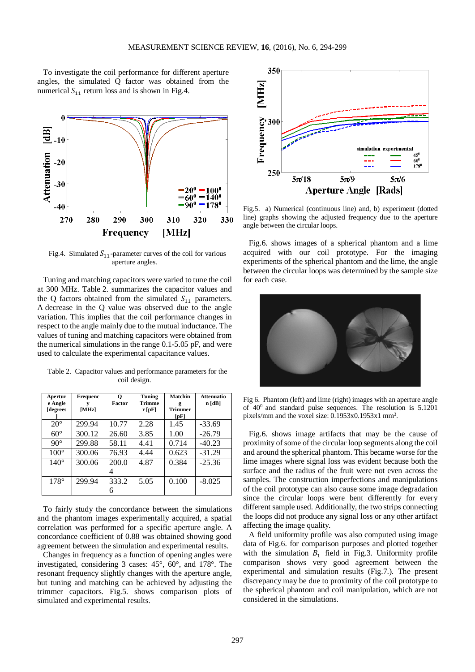To investigate the coil performance for different aperture angles, the simulated Q factor was obtained from the numerical  $S_{11}$  return loss and is shown in Fig.4.



Fig.4. Simulated  $S_{11}$ -parameter curves of the coil for various aperture angles.

Tuning and matching capacitors were varied to tune the coil at 300 MHz. Table 2. summarizes the capacitor values and the Q factors obtained from the simulated  $S_{11}$  parameters. A decrease in the Q value was observed due to the angle variation. This implies that the coil performance changes in respect to the angle mainly due to the mutual inductance. The values of tuning and matching capacitors were obtained from the numerical simulations in the range 0.1-5.05 pF, and were used to calculate the experimental capacitance values.

Table 2. Capacitor values and performance parameters for the coil design.

| Apertur<br>e Angle<br>[degrees | Frequenc<br>[MHz] | о<br>Factor | Tuning<br><b>Trimme</b><br>r[pF] | Matchin<br>g<br><b>Trimmer</b><br>[pF] | <b>Attenuatio</b><br>n[dB] |
|--------------------------------|-------------------|-------------|----------------------------------|----------------------------------------|----------------------------|
| $20^{\circ}$                   | 299.94            | 10.77       | 2.28                             | 1.45                                   | $-33.69$                   |
| $60^\circ$                     | 300.12            | 26.60       | 3.85                             | 1.00                                   | $-26.79$                   |
| $90^\circ$                     | 299.88            | 58.11       | 4.41                             | 0.714                                  | $-40.23$                   |
| $100^{\circ}$                  | 300.06            | 76.93       | 4.44                             | 0.623                                  | $-31.29$                   |
| $140^\circ$                    | 300.06            | 200.0       | 4.87                             | 0.384                                  | $-25.36$                   |
|                                |                   |             |                                  |                                        |                            |
| $178^\circ$                    | 299.94            | 333.2       | 5.05                             | 0.100                                  | $-8.025$                   |
|                                |                   | 6           |                                  |                                        |                            |

To fairly study the concordance between the simulations and the phantom images experimentally acquired, a spatial correlation was performed for a specific aperture angle. A concordance coefficient of 0.88 was obtained showing good agreement between the simulation and experimental results.

Changes in frequency as a function of opening angles were investigated, considering 3 cases: 45°, 60°, and 178°. The resonant frequency slightly changes with the aperture angle, but tuning and matching can be achieved by adjusting the trimmer capacitors. Fig.5. shows comparison plots of simulated and experimental results.



Fig.5. a) Numerical (continuous line) and, b) experiment (dotted line) graphs showing the adjusted frequency due to the aperture angle between the circular loops.

Fig.6. shows images of a spherical phantom and a lime acquired with our coil prototype. For the imaging experiments of the spherical phantom and the lime, the angle between the circular loops was determined by the sample size for each case.



Fig 6. Phantom (left) and lime (right) images with an aperture angle of  $40^0$  and standard pulse sequences. The resolution is  $5.1201$ pixels/mm and the voxel size: 0.1953x0.1953x1 mm<sup>3</sup>.

Fig.6. shows image artifacts that may be the cause of proximity of some of the circular loop segments along the coil and around the spherical phantom. This became worse for the lime images where signal loss was evident because both the surface and the radius of the fruit were not even across the samples. The construction imperfections and manipulations of the coil prototype can also cause some image degradation since the circular loops were bent differently for every different sample used. Additionally, the two strips connecting the loops did not produce any signal loss or any other artifact affecting the image quality.

A field uniformity profile was also computed using image data of Fig.6. for comparison purposes and plotted together with the simulation  $B_1$  field in Fig.3. Uniformity profile comparison shows very good agreement between the experimental and simulation results (Fig.7.). The present discrepancy may be due to proximity of the coil prototype to the spherical phantom and coil manipulation, which are not considered in the simulations.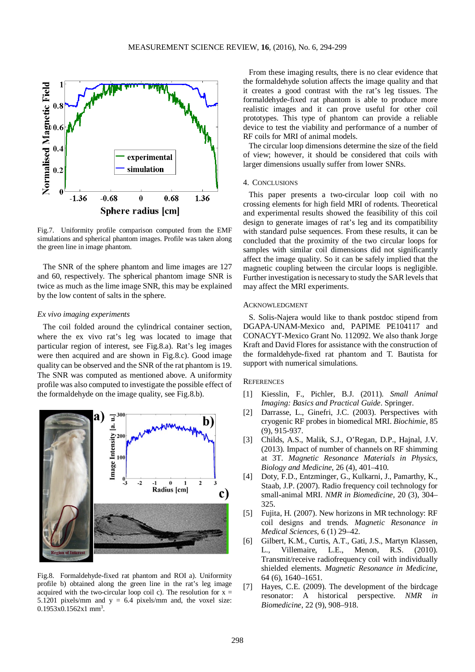

Fig.7. Uniformity profile comparison computed from the EMF simulations and spherical phantom images. Profile was taken along the green line in image phantom.

The SNR of the sphere phantom and lime images are 127 and 60, respectively. The spherical phantom image SNR is twice as much as the lime image SNR, this may be explained by the low content of salts in the sphere.

#### *Ex vivo imaging experiments*

The coil folded around the cylindrical container section, where the ex vivo rat's leg was located to image that particular region of interest, see Fig.8.a). Rat's leg images were then acquired and are shown in Fig.8.c). Good image quality can be observed and the SNR of the rat phantom is 19. The SNR was computed as mentioned above. A uniformity profile was also computed to investigate the possible effect of the formaldehyde on the image quality, see Fig.8.b).



Fig.8. Formaldehyde-fixed rat phantom and ROI a). Uniformity profile b) obtained along the green line in the rat's leg image acquired with the two-circular loop coil c). The resolution for  $x =$ 5.1201 pixels/mm and  $y = 6.4$  pixels/mm and, the voxel size: 0.1953x0.1562x1 mm<sup>3</sup>.

From these imaging results, there is no clear evidence that the formaldehyde solution affects the image quality and that it creates a good contrast with the rat's leg tissues. The formaldehyde-fixed rat phantom is able to produce more realistic images and it can prove useful for other coil prototypes. This type of phantom can provide a reliable device to test the viability and performance of a number of RF coils for MRI of animal models.

The circular loop dimensions determine the size of the field of view; however, it should be considered that coils with larger dimensions usually suffer from lower SNRs.

### 4. CONCLUSIONS

This paper presents a two-circular loop coil with no crossing elements for high field MRI of rodents. Theoretical and experimental results showed the feasibility of this coil design to generate images of rat's leg and its compatibility with standard pulse sequences. From these results, it can be concluded that the proximity of the two circular loops for samples with similar coil dimensions did not significantly affect the image quality. So it can be safely implied that the magnetic coupling between the circular loops is negligible. Further investigation is necessary to study the SAR levels that may affect the MRI experiments.

# ACKNOWLEDGMENT

S. Solis-Najera would like to thank postdoc stipend from DGAPA-UNAM-Mexico and, PAPIME PE104117 and CONACYT-Mexico Grant No. 112092. We also thank Jorge Kraft and David Flores for assistance with the construction of the formaldehyde-fixed rat phantom and T. Bautista for support with numerical simulations.

## **REFERENCES**

- [1] Kiesslin, F., Pichler, B.J. (2011). *Small Animal Imaging: Basics and Practical Guide*. Springer.
- [2] Darrasse, L., Ginefri, J.C. (2003). Perspectives with cryogenic RF probes in biomedical MRI. *Biochimie*, 85 (9), 915-937.
- [3] Childs, A.S., Malik, S.J., O'Regan, D.P., Hajnal, J.V. (2013). Impact of number of channels on RF shimming at 3T. *Magnetic Resonance Materials in Physics, Biology and Medicine*, 26 (4), 401–410.
- [4] Doty, F.D., Entzminger, G., Kulkarni, J., Pamarthy, K., Staab, J.P. (2007). Radio frequency coil technology for small-animal MRI. *NMR in Biomedicine*, 20 (3), 304– 325.
- [5] Fujita, H. (2007). New horizons in MR technology: RF coil designs and trends. *Magnetic Resonance in Medical Sciences*, 6 (1) 29–42.
- [6] Gilbert, K.M., Curtis, A.T., Gati, J.S., Martyn Klassen, L., Villemaire, L.E., Menon, R.S. (2010). Transmit/receive radiofrequency coil with individually shielded elements. *Magnetic Resonance in Medicine*, 64 (6), 1640–1651.
- [7] Hayes, C.E. (2009). The development of the birdcage resonator: A historical perspective. *NMR in Biomedicine*, 22 (9), 908–918.